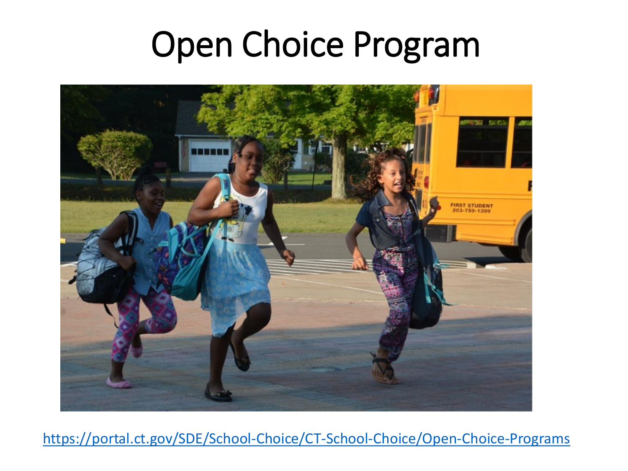## Open Choice Program



<https://portal.ct.gov/SDE/School-Choice/CT-School-Choice/Open-Choice-Programs>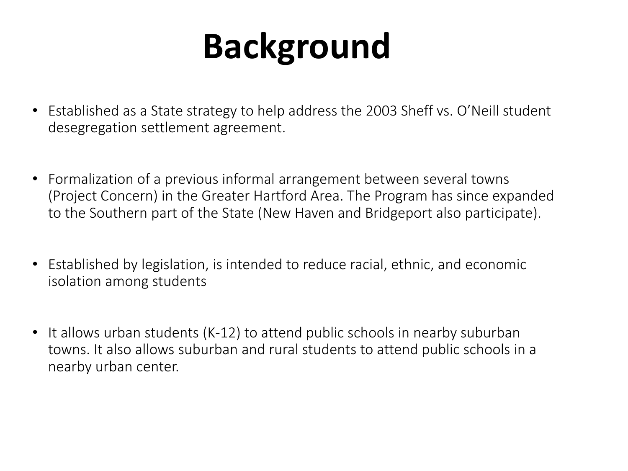## **Background**

- Established as a State strategy to help address the 2003 Sheff vs. O'Neill student desegregation settlement agreement.
- Formalization of a previous informal arrangement between several towns (Project Concern) in the Greater Hartford Area. The Program has since expanded to the Southern part of the State (New Haven and Bridgeport also participate).
- Established by legislation, is intended to reduce racial, ethnic, and economic isolation among students
- It allows urban students (K-12) to attend public schools in nearby suburban towns. It also allows suburban and rural students to attend public schools in a nearby urban center.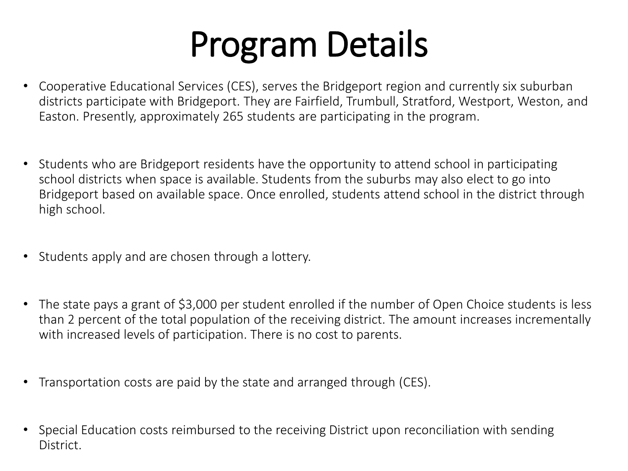## Program Details

- Cooperative Educational Services (CES), serves the Bridgeport region and currently six suburban districts participate with Bridgeport. They are Fairfield, Trumbull, Stratford, Westport, Weston, and Easton. Presently, approximately 265 students are participating in the program.
- Students who are Bridgeport residents have the opportunity to attend school in participating school districts when space is available. Students from the suburbs may also elect to go into Bridgeport based on available space. Once enrolled, students attend school in the district through high school.
- Students apply and are chosen through a lottery.
- The state pays a grant of \$3,000 per student enrolled if the number of Open Choice students is less than 2 percent of the total population of the receiving district. The amount increases incrementally with increased levels of participation. There is no cost to parents.
- Transportation costs are paid by the state and arranged through (CES).
- Special Education costs reimbursed to the receiving District upon reconciliation with sending **District**